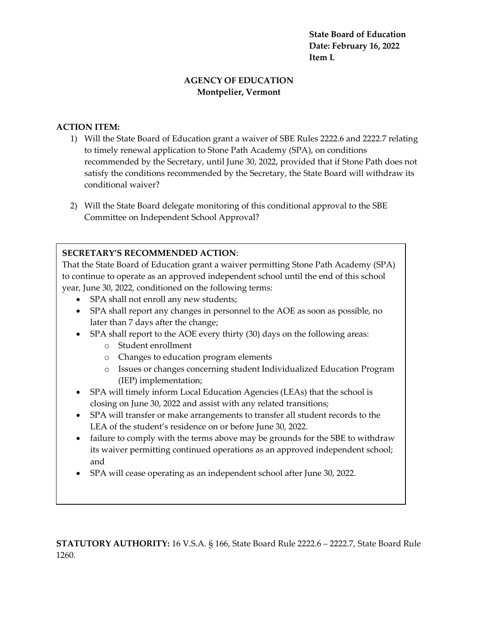**State Board of Education Date: February 16, 2022 Item L**

## **AGENCY OF EDUCATION Montpelier, Vermont**

## **ACTION ITEM:**

- 1) Will the State Board of Education grant a waiver of SBE Rules 2222.6 and 2222.7 relating to timely renewal application to Stone Path Academy (SPA), on conditions recommended by the Secretary, until June 30, 2022, provided that if Stone Path does not satisfy the conditions recommended by the Secretary, the State Board will withdraw its conditional waiver?
- 2) Will the State Board delegate monitoring of this conditional approval to the SBE Committee on Independent School Approval?

## **SECRETARY'S RECOMMENDED ACTION**:

That the State Board of Education grant a waiver permitting Stone Path Academy (SPA) to continue to operate as an approved independent school until the end of this school year, June 30, 2022, conditioned on the following terms:

- SPA shall not enroll any new students;
- SPA shall report any changes in personnel to the AOE as soon as possible, no later than 7 days after the change;
- SPA shall report to the AOE every thirty (30) days on the following areas:
	- o Student enrollment
	- o Changes to education program elements
	- o Issues or changes concerning student Individualized Education Program (IEP) implementation;
- SPA will timely inform Local Education Agencies (LEAs) that the school is closing on June 30, 2022 and assist with any related transitions;
- SPA will transfer or make arrangements to transfer all student records to the LEA of the student's residence on or before June 30, 2022.
- failure to comply with the terms above may be grounds for the SBE to withdraw its waiver permitting continued operations as an approved independent school; and
- SPA will cease operating as an independent school after June 30, 2022.

**STATUTORY AUTHORITY:** 16 V.S.A. § 166, State Board Rule 2222.6 – 2222.7, State Board Rule 1260.